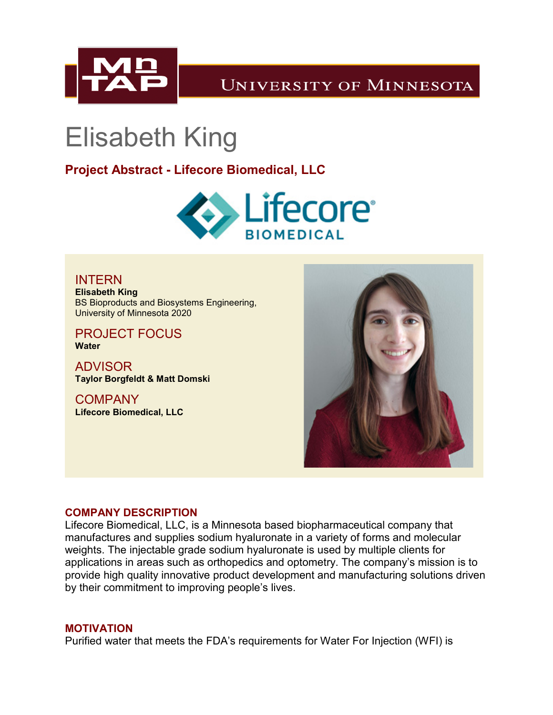

## **UNIVERSITY OF MINNESOTA**

# Elisabeth King

### **Project Abstract - Lifecore Biomedical, LLC**



INTERN **Elisabeth King** BS Bioproducts and Biosystems Engineering, University of Minnesota 2020

PROJECT FOCUS **Water**

ADVISOR **Taylor Borgfeldt & Matt Domski**

COMPANY **Lifecore Biomedical, LLC**



#### **COMPANY DESCRIPTION**

Lifecore Biomedical, LLC, is a Minnesota based biopharmaceutical company that manufactures and supplies sodium hyaluronate in a variety of forms and molecular weights. The injectable grade sodium hyaluronate is used by multiple clients for applications in areas such as orthopedics and optometry. The company's mission is to provide high quality innovative product development and manufacturing solutions driven by their commitment to improving people's lives.

#### **MOTIVATION**

Purified water that meets the FDA's requirements for Water For Injection (WFI) is